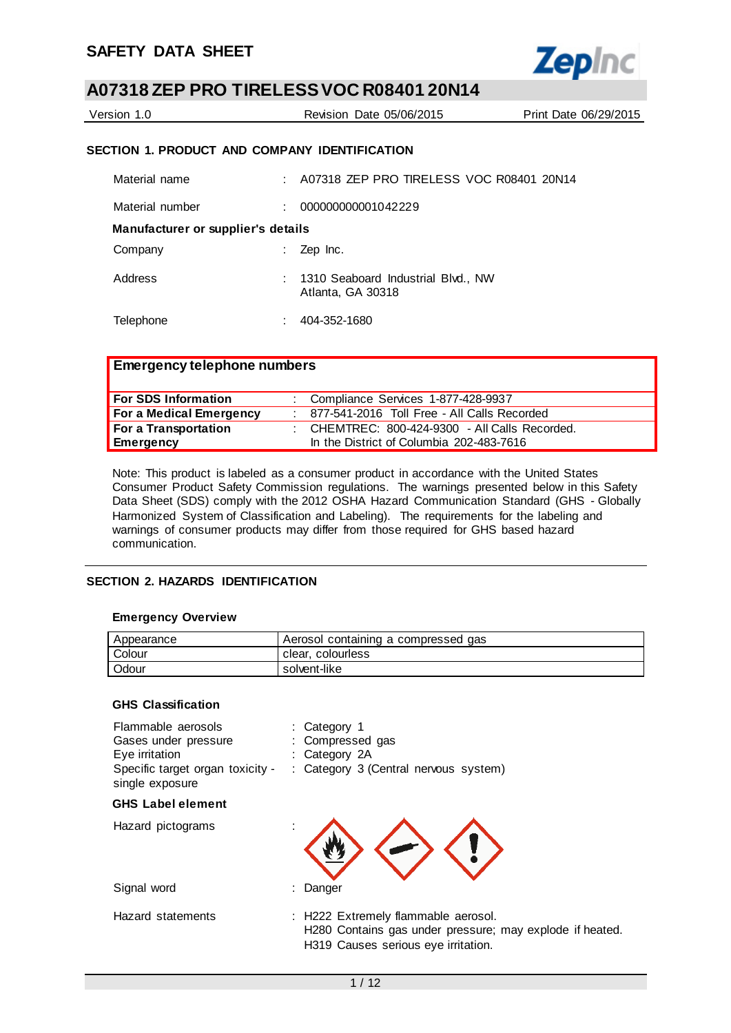

| Version 1.0                                   |    | Revision Date 05/06/2015                 | Print Date 06/29/2015 |
|-----------------------------------------------|----|------------------------------------------|-----------------------|
| SECTION 1. PRODUCT AND COMPANY IDENTIFICATION |    |                                          |                       |
| Material name                                 | л. | A07318 ZEP PRO TIRELESS VOC R08401 20N14 |                       |
| Material number                               |    | 000000000001042229                       |                       |
|                                               |    |                                          |                       |

**Manufacturer or supplier's details** 

| Company | $\therefore$ Zep Inc.                                   |
|---------|---------------------------------------------------------|
| Address | : 1310 Seaboard Industrial Blvd NW<br>Atlanta, GA 30318 |

Telephone : 404-352-1680

## **Emergency telephone numbers**

| <b>For SDS Information</b> | : Compliance Services 1-877-428-9937             |
|----------------------------|--------------------------------------------------|
| For a Medical Emergency    | 877-541-2016 Toll Free - All Calls Recorded      |
| For a Transportation       | : CHEMTREC: $800-424-9300$ - All Calls Recorded. |
| Emergency                  | In the District of Columbia 202-483-7616         |

Note: This product is labeled as a consumer product in accordance with the United States Consumer Product Safety Commission regulations. The warnings presented below in this Safety Data Sheet (SDS) comply with the 2012 OSHA Hazard Communication Standard (GHS - Globally Harmonized System of Classification and Labeling). The requirements for the labeling and warnings of consumer products may differ from those required for GHS based hazard communication.

#### **SECTION 2. HAZARDS IDENTIFICATION**

#### **Emergency Overview**

| Appearance | Aerosol containing a compressed gas |
|------------|-------------------------------------|
| Colour     | clear, colourless                   |
| Odour      | solvent-like                        |

#### **GHS Classification**

| Flammable aerosols<br>Gases under pressure<br>Eye irritation<br>Specific target organ toxicity -<br>single exposure | : Category 1<br>: Compressed gas<br>: Category 2A<br>: Category 3 (Central nervous system)                                             |
|---------------------------------------------------------------------------------------------------------------------|----------------------------------------------------------------------------------------------------------------------------------------|
| <b>GHS Label element</b>                                                                                            |                                                                                                                                        |
| Hazard pictograms                                                                                                   |                                                                                                                                        |
| Signal word                                                                                                         | : Danger                                                                                                                               |
| Hazard statements                                                                                                   | : H222 Extremely flammable aerosol.<br>H280 Contains gas under pressure; may explode if heated.<br>H319 Causes serious eye irritation. |
|                                                                                                                     |                                                                                                                                        |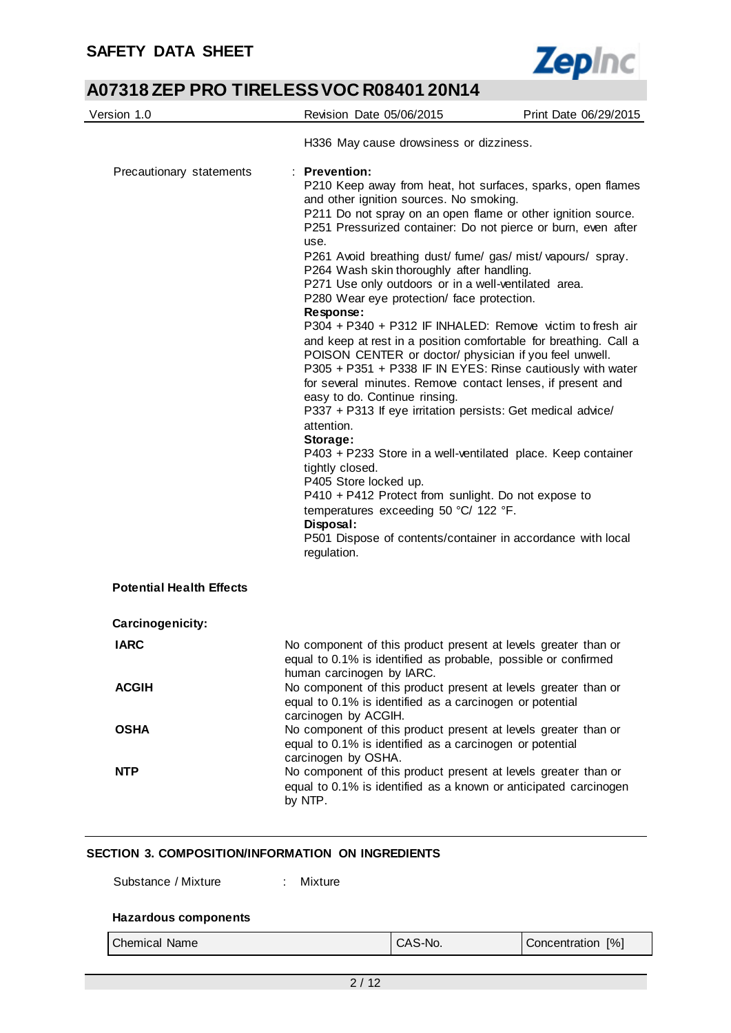$\overline{\phantom{0}}$ 



# **A07318 ZEP PRO TIRELESS VOC R08401 20N14**

| Version 1.0                     | Revision Date 05/06/2015                                                                                                                                                                                                                                                                                                                                                                                                                                                                                                                                                                                                                                                                                                                                                                                                                                                                                                                                                                                                                                                                                                                                                                                                                                | Print Date 06/29/2015 |  |
|---------------------------------|---------------------------------------------------------------------------------------------------------------------------------------------------------------------------------------------------------------------------------------------------------------------------------------------------------------------------------------------------------------------------------------------------------------------------------------------------------------------------------------------------------------------------------------------------------------------------------------------------------------------------------------------------------------------------------------------------------------------------------------------------------------------------------------------------------------------------------------------------------------------------------------------------------------------------------------------------------------------------------------------------------------------------------------------------------------------------------------------------------------------------------------------------------------------------------------------------------------------------------------------------------|-----------------------|--|
|                                 | H336 May cause drowsiness or dizziness.                                                                                                                                                                                                                                                                                                                                                                                                                                                                                                                                                                                                                                                                                                                                                                                                                                                                                                                                                                                                                                                                                                                                                                                                                 |                       |  |
| Precautionary statements        | <b>Prevention:</b><br>P210 Keep away from heat, hot surfaces, sparks, open flames<br>and other ignition sources. No smoking.<br>P211 Do not spray on an open flame or other ignition source.<br>P251 Pressurized container: Do not pierce or burn, even after<br>use.<br>P261 Avoid breathing dust/fume/gas/mist/vapours/spray.<br>P264 Wash skin thoroughly after handling.<br>P271 Use only outdoors or in a well-ventilated area.<br>P280 Wear eye protection/ face protection.<br>Response:<br>P304 + P340 + P312 IF INHALED: Remove victim to fresh air<br>and keep at rest in a position comfortable for breathing. Call a<br>POISON CENTER or doctor/ physician if you feel unwell.<br>P305 + P351 + P338 IF IN EYES: Rinse cautiously with water<br>for several minutes. Remove contact lenses, if present and<br>easy to do. Continue rinsing.<br>P337 + P313 If eye irritation persists: Get medical advice/<br>attention.<br>Storage:<br>P403 + P233 Store in a well-ventilated place. Keep container<br>tightly closed.<br>P405 Store locked up.<br>P410 + P412 Protect from sunlight. Do not expose to<br>temperatures exceeding 50 °C/ 122 °F.<br>Disposal:<br>P501 Dispose of contents/container in accordance with local<br>regulation. |                       |  |
| <b>Potential Health Effects</b> |                                                                                                                                                                                                                                                                                                                                                                                                                                                                                                                                                                                                                                                                                                                                                                                                                                                                                                                                                                                                                                                                                                                                                                                                                                                         |                       |  |
| Carcinogenicity:                |                                                                                                                                                                                                                                                                                                                                                                                                                                                                                                                                                                                                                                                                                                                                                                                                                                                                                                                                                                                                                                                                                                                                                                                                                                                         |                       |  |
| <b>IARC</b><br><b>ACGIH</b>     | No component of this product present at levels greater than or<br>equal to 0.1% is identified as probable, possible or confirmed<br>human carcinogen by IARC.<br>No component of this product present at levels greater than or<br>equal to 0.1% is identified as a carcinogen or potential                                                                                                                                                                                                                                                                                                                                                                                                                                                                                                                                                                                                                                                                                                                                                                                                                                                                                                                                                             |                       |  |
| <b>OSHA</b>                     | carcinogen by ACGIH.<br>No component of this product present at levels greater than or<br>equal to 0.1% is identified as a carcinogen or potential                                                                                                                                                                                                                                                                                                                                                                                                                                                                                                                                                                                                                                                                                                                                                                                                                                                                                                                                                                                                                                                                                                      |                       |  |
| <b>NTP</b>                      | carcinogen by OSHA.<br>No component of this product present at levels greater than or<br>equal to 0.1% is identified as a known or anticipated carcinogen<br>by NTP.                                                                                                                                                                                                                                                                                                                                                                                                                                                                                                                                                                                                                                                                                                                                                                                                                                                                                                                                                                                                                                                                                    |                       |  |

### **SECTION 3. COMPOSITION/INFORMATION ON INGREDIENTS**

Substance / Mixture : Mixture

#### **Hazardous components**

|  |  |  | Chemical Name |
|--|--|--|---------------|
|--|--|--|---------------|

 $\blacksquare$ 

| CAS-No. |  |
|---------|--|
|         |  |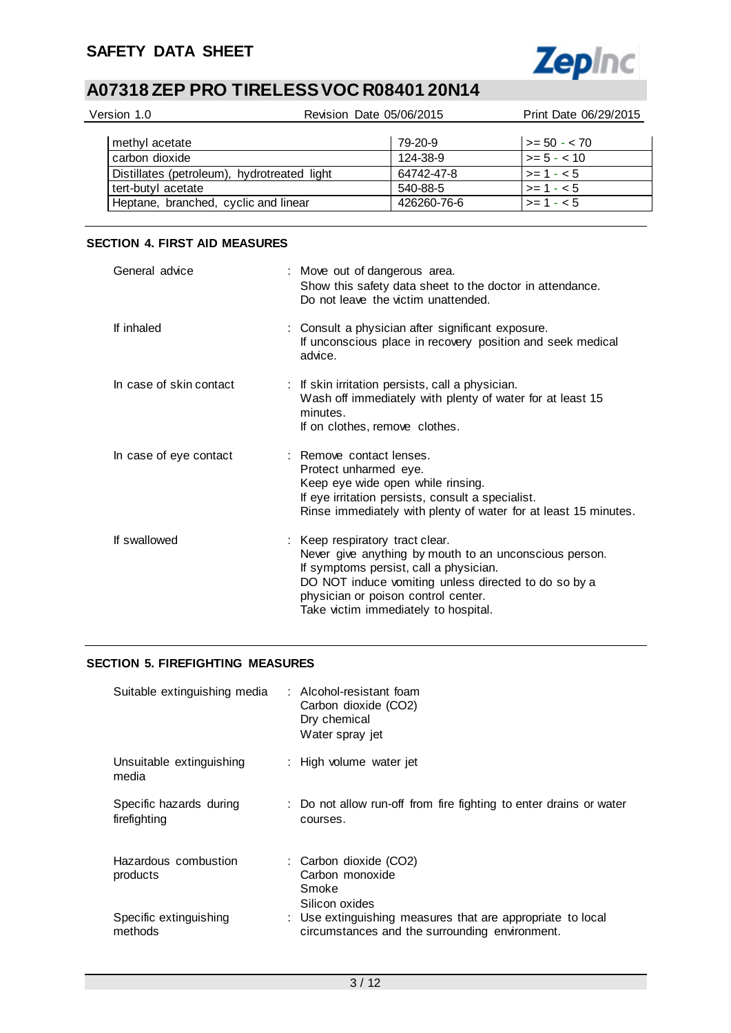

| Version 1.0                          |                                             | Revision Date 05/06/2015 | Print Date 06/29/2015 |
|--------------------------------------|---------------------------------------------|--------------------------|-----------------------|
| methyl acetate                       |                                             | 79-20-9                  | $>= 50 - 70$          |
| carbon dioxide                       |                                             | 124-38-9                 | $>= 5 - < 10$         |
|                                      | Distillates (petroleum), hydrotreated light | 64742-47-8               | $>= 1 - 5$            |
| tert-butyl acetate                   |                                             | 540-88-5                 | $>= 1 - 5$            |
| Heptane, branched, cyclic and linear |                                             | 426260-76-6              | $>= 1 - 5$            |

### **SECTION 4. FIRST AID MEASURES**

| General advice          | : Move out of dangerous area.<br>Show this safety data sheet to the doctor in attendance.<br>Do not leave the victim unattended.                                                                                                                                           |
|-------------------------|----------------------------------------------------------------------------------------------------------------------------------------------------------------------------------------------------------------------------------------------------------------------------|
| If inhaled              | : Consult a physician after significant exposure.<br>If unconscious place in recovery position and seek medical<br>advice.                                                                                                                                                 |
| In case of skin contact | : If skin irritation persists, call a physician.<br>Wash off immediately with plenty of water for at least 15<br>minutes.<br>If on clothes, remove clothes.                                                                                                                |
| In case of eye contact  | : Remove contact lenses.<br>Protect unharmed eye.<br>Keep eye wide open while rinsing.<br>If eye irritation persists, consult a specialist.<br>Rinse immediately with plenty of water for at least 15 minutes.                                                             |
| If swallowed            | : Keep respiratory tract clear.<br>Never give anything by mouth to an unconscious person.<br>If symptoms persist, call a physician.<br>DO NOT induce vomiting unless directed to do so by a<br>physician or poison control center.<br>Take victim immediately to hospital. |

# **SECTION 5. FIREFIGHTING MEASURES**

| Suitable extinguishing media            | : Alcohol-resistant foam<br>Carbon dioxide (CO2)<br>Dry chemical<br>Water spray jet                          |
|-----------------------------------------|--------------------------------------------------------------------------------------------------------------|
| Unsuitable extinguishing<br>media       | : High volume water jet                                                                                      |
| Specific hazards during<br>firefighting | : Do not allow run-off from fire fighting to enter drains or water<br>courses.                               |
| Hazardous combustion<br>products        | : Carbon dioxide (CO2)<br>Carbon monoxide<br>Smoke<br>Silicon oxides                                         |
| Specific extinguishing<br>methods       | : Use extinguishing measures that are appropriate to local<br>circumstances and the surrounding environment. |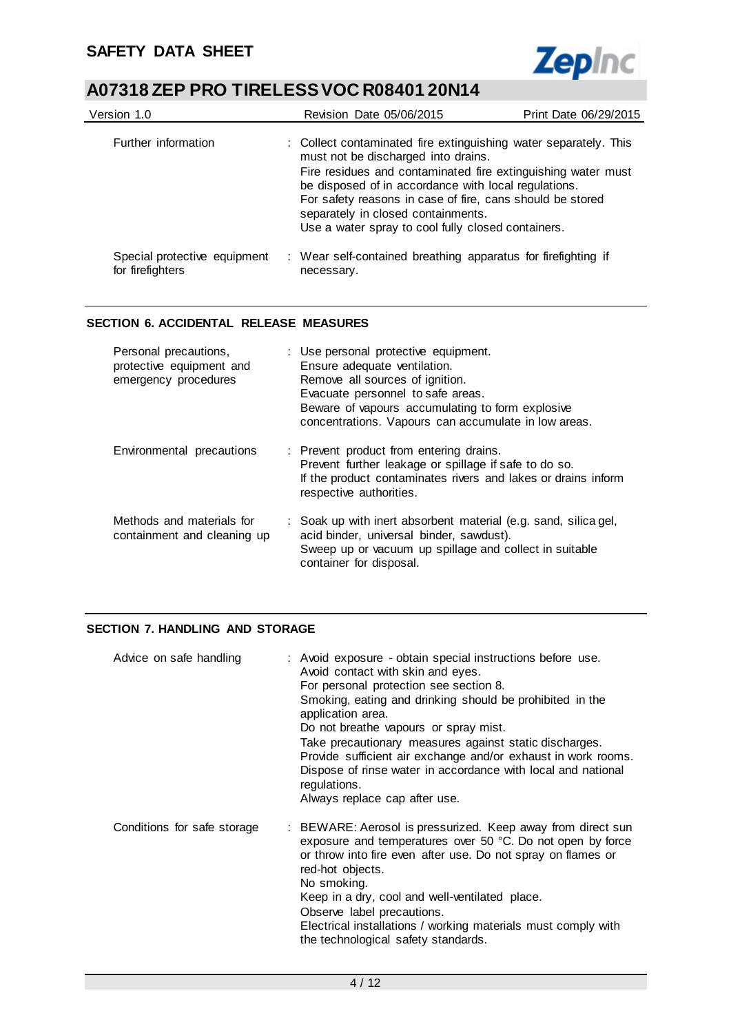

| Version 1.0                                      | Revision Date 05/06/2015                                                                                                                                                                                                                                                                     | Print Date 06/29/2015 |
|--------------------------------------------------|----------------------------------------------------------------------------------------------------------------------------------------------------------------------------------------------------------------------------------------------------------------------------------------------|-----------------------|
| Further information                              | : Collect contaminated fire extinguishing water separately. This<br>must not be discharged into drains.<br>Fire residues and contaminated fire extinguishing water must<br>be disposed of in accordance with local regulations.<br>For safety reasons in case of fire, cans should be stored |                       |
| Special protective equipment<br>for firefighters | separately in closed containments.<br>Use a water spray to cool fully closed containers.<br>: Wear self-contained breathing apparatus for firefighting if<br>necessary.                                                                                                                      |                       |

## **SECTION 6. ACCIDENTAL RELEASE MEASURES**

| Personal precautions,<br>protective equipment and<br>emergency procedures | : Use personal protective equipment.<br>Ensure adequate ventilation.<br>Remove all sources of ignition.<br>Evacuate personnel to safe areas.<br>Beware of vapours accumulating to form explosive<br>concentrations. Vapours can accumulate in low areas. |
|---------------------------------------------------------------------------|----------------------------------------------------------------------------------------------------------------------------------------------------------------------------------------------------------------------------------------------------------|
| Environmental precautions                                                 | : Prevent product from entering drains.<br>Prevent further leakage or spillage if safe to do so.<br>If the product contaminates rivers and lakes or drains inform<br>respective authorities.                                                             |
| Methods and materials for<br>containment and cleaning up                  | : Soak up with inert absorbent material (e.g. sand, silica gel,<br>acid binder, universal binder, sawdust).<br>Sweep up or vacuum up spillage and collect in suitable<br>container for disposal.                                                         |

# **SECTION 7. HANDLING AND STORAGE**

| Advice on safe handling     | : Avoid exposure - obtain special instructions before use.<br>Avoid contact with skin and eyes.<br>For personal protection see section 8.<br>Smoking, eating and drinking should be prohibited in the<br>application area.<br>Do not breathe vapours or spray mist.<br>Take precautionary measures against static discharges.<br>Provide sufficient air exchange and/or exhaust in work rooms.<br>Dispose of rinse water in accordance with local and national<br>regulations.<br>Always replace cap after use. |
|-----------------------------|-----------------------------------------------------------------------------------------------------------------------------------------------------------------------------------------------------------------------------------------------------------------------------------------------------------------------------------------------------------------------------------------------------------------------------------------------------------------------------------------------------------------|
| Conditions for safe storage | : BEWARE: Aerosol is pressurized. Keep away from direct sun<br>exposure and temperatures over 50 °C. Do not open by force<br>or throw into fire even after use. Do not spray on flames or<br>red-hot objects.<br>No smoking.<br>Keep in a dry, cool and well-ventilated place.<br>Observe label precautions.<br>Electrical installations / working materials must comply with<br>the technological safety standards.                                                                                            |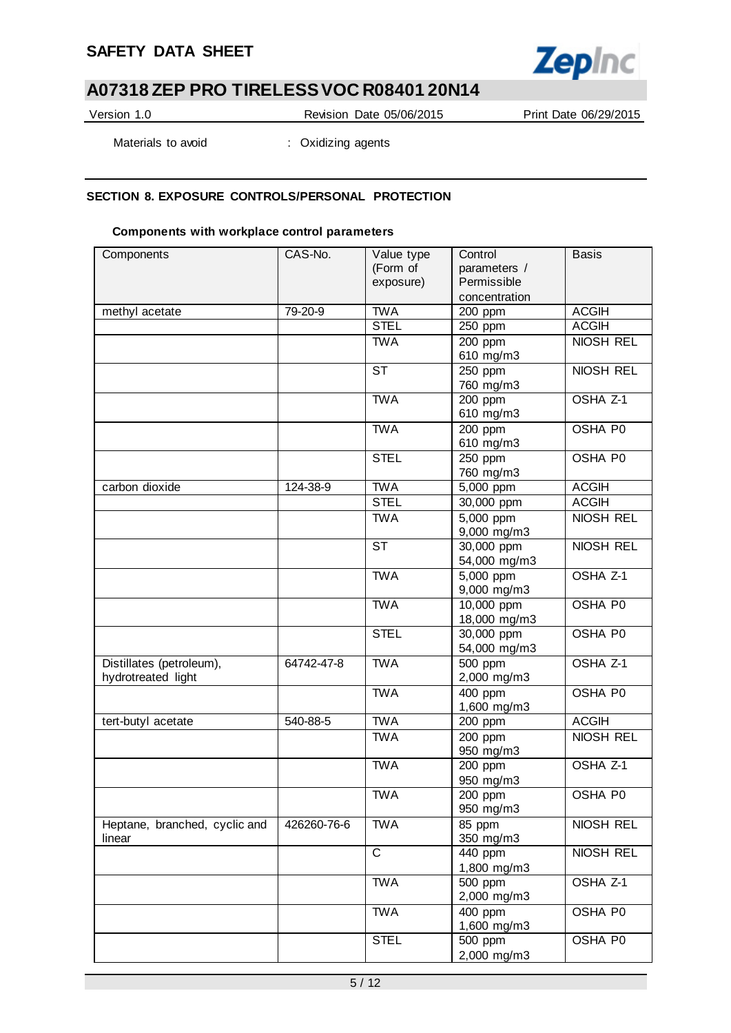# **SAFETY DATA SHEET**



# **A07318 ZEP PRO TIRELESS VOC R08401 20N14**

Version 1.0 Revision Date 05/06/2015 Print Date 06/29/2015

Materials to avoid : Oxidizing agents

## **SECTION 8. EXPOSURE CONTROLS/PERSONAL PROTECTION**

#### **Components with workplace control parameters**

| Components                    | CAS-No.     | Value type     | Control              | <b>Basis</b>     |
|-------------------------------|-------------|----------------|----------------------|------------------|
|                               |             | (Form of       | parameters /         |                  |
|                               |             | exposure)      | Permissible          |                  |
|                               |             |                | concentration        |                  |
| methyl acetate                | 79-20-9     | <b>TWA</b>     | 200 ppm              | <b>ACGIH</b>     |
|                               |             | <b>STEL</b>    | 250 ppm              | <b>ACGIH</b>     |
|                               |             | <b>TWA</b>     | 200 ppm              | NIOSH REL        |
|                               |             |                | 610 mg/m3            |                  |
|                               |             | <b>ST</b>      | 250 ppm              | NIOSH REL        |
|                               |             |                | 760 mg/m3            |                  |
|                               |             | <b>TWA</b>     | 200 ppm              | OSHA Z-1         |
|                               |             |                | 610 mg/m3            |                  |
|                               |             | <b>TWA</b>     | 200 ppm              | OSHA P0          |
|                               |             |                | 610 mg/m3            |                  |
|                               |             | <b>STEL</b>    | 250 ppm              | OSHA P0          |
|                               |             |                | 760 mg/m3            |                  |
| carbon dioxide                | 124-38-9    | <b>TWA</b>     | 5,000 ppm            | <b>ACGIH</b>     |
|                               |             | <b>STEL</b>    | 30,000 ppm           | <b>ACGIH</b>     |
|                               |             | <b>TWA</b>     | $5,000$ ppm          | NIOSH REL        |
|                               |             |                | 9,000 mg/m3          |                  |
|                               |             | <b>ST</b>      | 30,000 ppm           | NIOSH REL        |
|                               |             |                | 54,000 mg/m3         |                  |
|                               |             | <b>TWA</b>     | 5,000 ppm            | OSHA Z-1         |
|                               |             |                | 9,000 mg/m3          |                  |
|                               |             | <b>TWA</b>     | $10,000$ ppm         | OSHA P0          |
|                               |             |                | 18,000 mg/m3         |                  |
|                               |             | <b>STEL</b>    | 30,000 ppm           | OSHA P0          |
|                               |             |                | 54,000 mg/m3         |                  |
| Distillates (petroleum),      | 64742-47-8  | <b>TWA</b>     | $\overline{500}$ ppm | OSHA Z-1         |
| hydrotreated light            |             |                | 2,000 mg/m3          |                  |
|                               |             | <b>TWA</b>     | 400 ppm              | OSHA P0          |
|                               |             |                | 1,600 mg/m3          |                  |
| tert-butyl acetate            | 540-88-5    | <b>TWA</b>     | 200 ppm              | <b>ACGIH</b>     |
|                               |             | <b>TWA</b>     | 200 ppm              | NIOSH REL        |
|                               |             |                | 950 mg/m3            |                  |
|                               |             | <b>TWA</b>     | 200 ppm              | OSHA Z-1         |
|                               |             |                | 950 mg/m3            |                  |
|                               |             | <b>TWA</b>     | $200$ ppm            | OSHA P0          |
|                               |             |                | 950 mg/m3            |                  |
| Heptane, branched, cyclic and | 426260-76-6 | <b>TWA</b>     | 85 ppm               | <b>NIOSH REL</b> |
| linear                        |             |                | 350 mg/m3            |                  |
|                               |             | $\overline{C}$ | 440 ppm              | NIOSH REL        |
|                               |             |                | 1,800 mg/m3          |                  |
|                               |             | <b>TWA</b>     | $500$ ppm            | OSHA Z-1         |
|                               |             |                | 2,000 mg/m3          |                  |
|                               |             | <b>TWA</b>     | 400 ppm              | OSHA P0          |
|                               |             |                | 1,600 mg/m3          |                  |
|                               |             | <b>STEL</b>    | 500 ppm              | OSHA P0          |
|                               |             |                | 2,000 mg/m3          |                  |
|                               |             |                |                      |                  |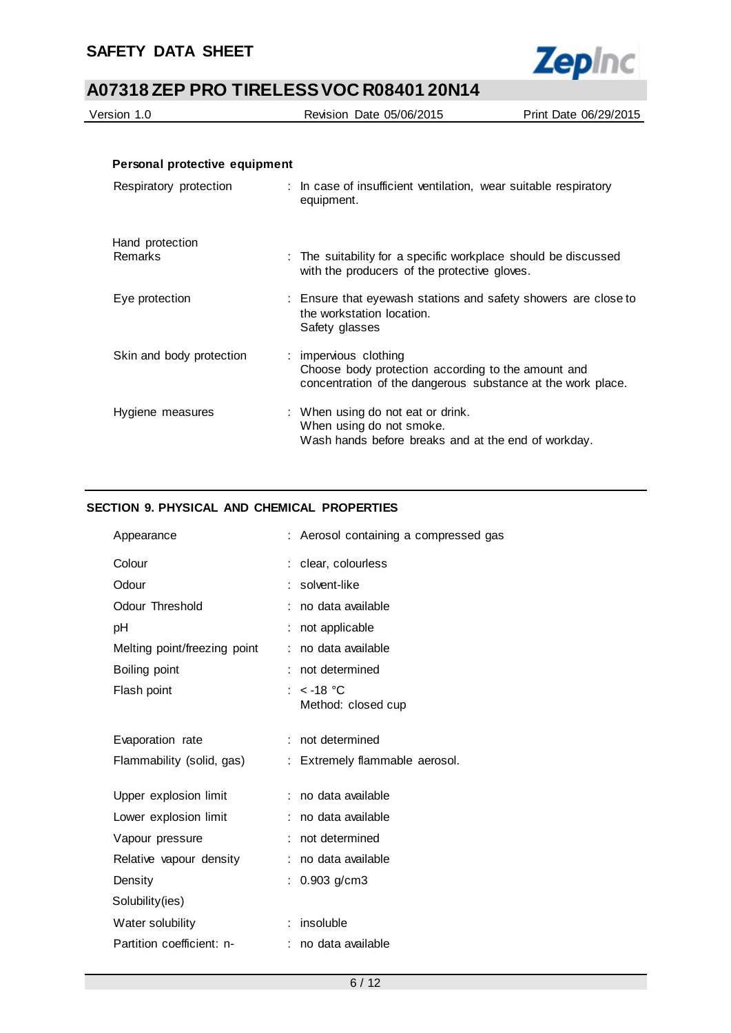

| Version 1.0                       | Revision Date 05/06/2015                                                                                                                   | Print Date 06/29/2015 |
|-----------------------------------|--------------------------------------------------------------------------------------------------------------------------------------------|-----------------------|
|                                   |                                                                                                                                            |                       |
| Personal protective equipment     |                                                                                                                                            |                       |
| Respiratory protection            | : In case of insufficient ventilation, wear suitable respiratory<br>equipment.                                                             |                       |
| Hand protection<br><b>Remarks</b> | : The suitability for a specific workplace should be discussed<br>with the producers of the protective gloves.                             |                       |
| Eye protection                    | : Ensure that eyewash stations and safety showers are close to<br>the workstation location.<br>Safety glasses                              |                       |
| Skin and body protection          | : impervious clothing<br>Choose body protection according to the amount and<br>concentration of the dangerous substance at the work place. |                       |

| Hygiene measures | : When using do not eat or drink.                   |
|------------------|-----------------------------------------------------|
|                  | When using do not smoke.                            |
|                  | Wash hands before breaks and at the end of workday. |
|                  |                                                     |

# **SECTION 9. PHYSICAL AND CHEMICAL PROPERTIES**

| Appearance                   | : Aerosol containing a compressed gas |
|------------------------------|---------------------------------------|
| Colour                       | clear, colourless                     |
| Odour                        | solvent-like                          |
| Odour Threshold              | : no data available                   |
| рH                           | not applicable                        |
| Melting point/freezing point | no data available                     |
| Boiling point                | : not determined                      |
| Flash point                  | : $<$ -18 °C<br>Method: closed cup    |
| Evaporation rate             | : not determined                      |
| Flammability (solid, gas)    | : Extremely flammable aerosol.        |
| Upper explosion limit        | : no data available                   |
| Lower explosion limit        | no data available                     |
| Vapour pressure              | not determined                        |
| Relative vapour density      | no data available                     |
| Density                      | $0.903$ g/cm3                         |
| Solubility(ies)              |                                       |
| Water solubility             | insoluble                             |
| Partition coefficient: n-    | : no data available                   |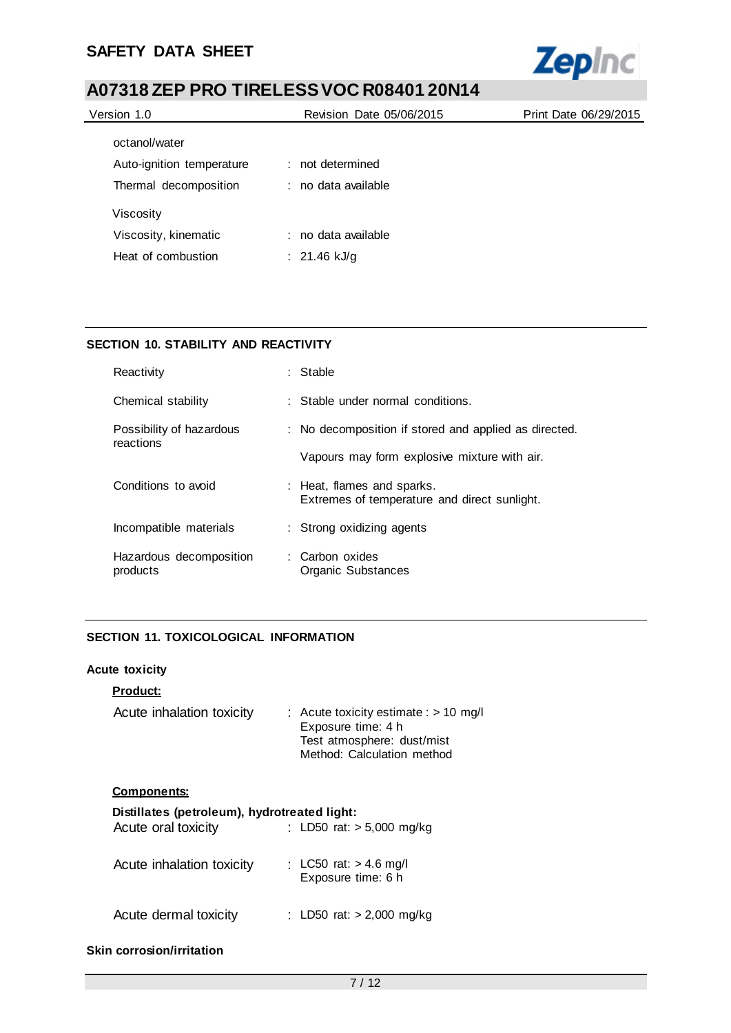

| Version 1.0               | Revision Date 05/06/2015 | Print Date 06/29/2015 |
|---------------------------|--------------------------|-----------------------|
| octanol/water             |                          |                       |
| Auto-ignition temperature | : not determined         |                       |
| Thermal decomposition     | : no data available      |                       |
| Viscosity                 |                          |                       |
| Viscosity, kinematic      | : no data available      |                       |
| Heat of combustion        | : 21.46 kJ/g             |                       |
|                           |                          |                       |

# **SECTION 10. STABILITY AND REACTIVITY**

| Reactivity                            | $:$ Stable                                                                 |
|---------------------------------------|----------------------------------------------------------------------------|
| Chemical stability                    | : Stable under normal conditions.                                          |
| Possibility of hazardous<br>reactions | : No decomposition if stored and applied as directed.                      |
|                                       | Vapours may form explosive mixture with air.                               |
| Conditions to avoid                   | : Heat, flames and sparks.<br>Extremes of temperature and direct sunlight. |
| Incompatible materials                | : Strong oxidizing agents                                                  |
| Hazardous decomposition<br>products   | : Carbon oxides<br>Organic Substances                                      |

## **SECTION 11. TOXICOLOGICAL INFORMATION**

# **Acute toxicity**

#### **Product:**

| Acute inhalation toxicity | : Acute toxicity estimate : $> 10$ mg/l |
|---------------------------|-----------------------------------------|
|                           | Exposure time: 4 h                      |
|                           | Test atmosphere: dust/mist              |
|                           | Method: Calculation method              |

#### **Components:**

| Distillates (petroleum), hydrotreated light:<br>Acute oral toxicity | : LD50 rat: $> 5,000$ mg/kg |
|---------------------------------------------------------------------|-----------------------------|
|                                                                     |                             |
| Acute inhalation toxicity                                           | : LC50 rat: $> 4.6$ mg/l    |
|                                                                     |                             |
| Acute dermal toxicity                                               | : LD50 rat: $> 2,000$ mg/kg |
|                                                                     | Exposure time: 6 h          |

## **Skin corrosion/irritation**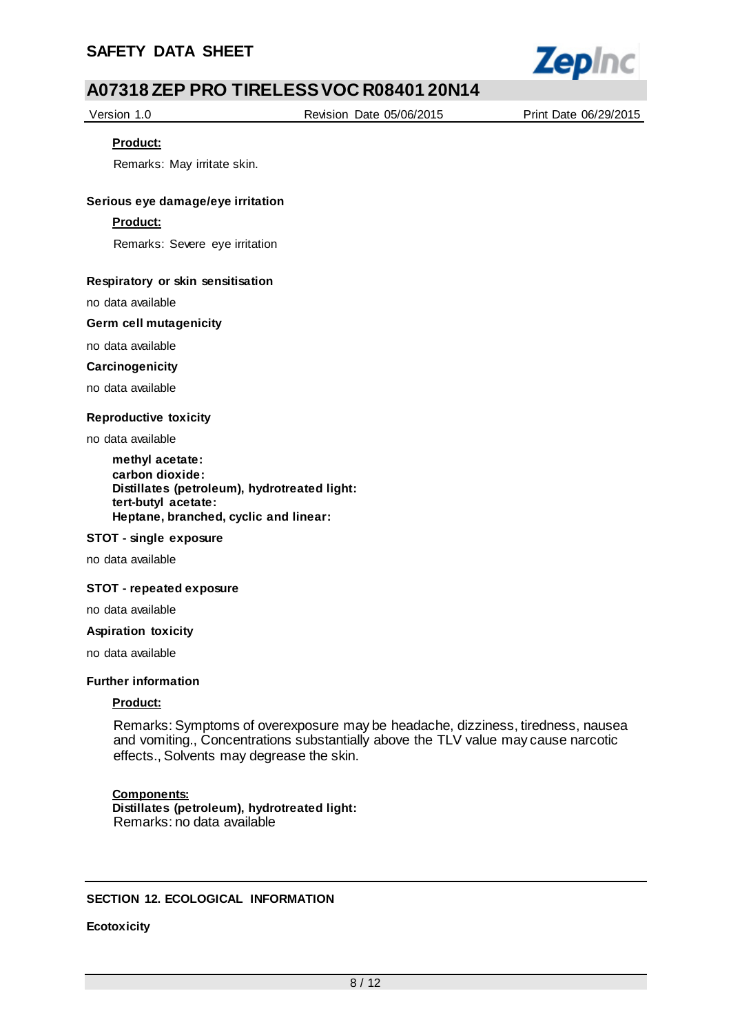

Version 1.0 Revision Date 05/06/2015 Print Date 06/29/2015

#### **Product:**

Remarks: May irritate skin.

#### **Serious eye damage/eye irritation**

#### **Product:**

Remarks: Severe eye irritation

#### **Respiratory or skin sensitisation**

no data available

#### **Germ cell mutagenicity**

no data available

#### **Carcinogenicity**

no data available

#### **Reproductive toxicity**

no data available

**methyl acetate: carbon dioxide: Distillates (petroleum), hydrotreated light: tert-butyl acetate: Heptane, branched, cyclic and linear:**

#### **STOT - single exposure**

no data available

#### **STOT - repeated exposure**

no data available

#### **Aspiration toxicity**

no data available

#### **Further information**

#### **Product:**

Remarks: Symptoms of overexposure may be headache, dizziness, tiredness, nausea and vomiting., Concentrations substantially above the TLV value may cause narcotic effects., Solvents may degrease the skin.

#### **Components:**

**Distillates (petroleum), hydrotreated light:** Remarks: no data available

#### **SECTION 12. ECOLOGICAL INFORMATION**

#### **Ecotoxicity**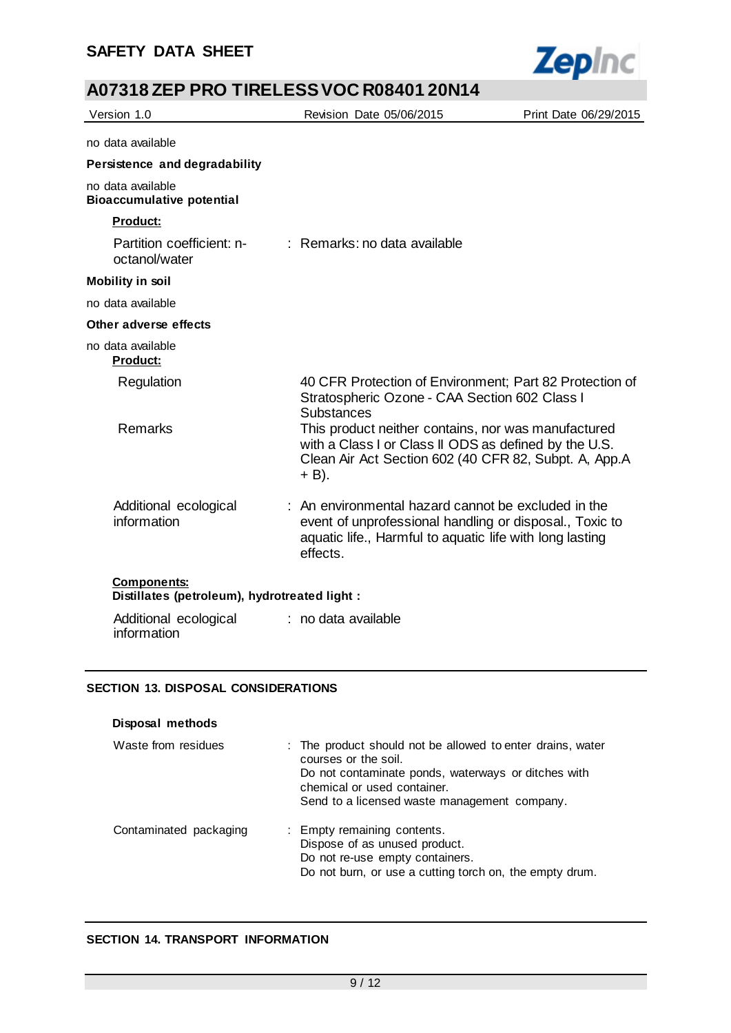

| Version 1.0                                                         | Revision Date 05/06/2015                                                                                                                                                               | Print Date 06/29/2015 |
|---------------------------------------------------------------------|----------------------------------------------------------------------------------------------------------------------------------------------------------------------------------------|-----------------------|
| no data available                                                   |                                                                                                                                                                                        |                       |
| Persistence and degradability                                       |                                                                                                                                                                                        |                       |
| no data available<br><b>Bioaccumulative potential</b>               |                                                                                                                                                                                        |                       |
| <b>Product:</b>                                                     |                                                                                                                                                                                        |                       |
| Partition coefficient: n-<br>octanol/water                          | : Remarks: no data available                                                                                                                                                           |                       |
| <b>Mobility in soil</b>                                             |                                                                                                                                                                                        |                       |
| no data available                                                   |                                                                                                                                                                                        |                       |
| Other adverse effects                                               |                                                                                                                                                                                        |                       |
| no data available<br>Product:                                       |                                                                                                                                                                                        |                       |
| Regulation                                                          | 40 CFR Protection of Environment; Part 82 Protection of<br>Stratospheric Ozone - CAA Section 602 Class I<br><b>Substances</b>                                                          |                       |
| <b>Remarks</b>                                                      | This product neither contains, nor was manufactured<br>with a Class I or Class II ODS as defined by the U.S.<br>Clean Air Act Section 602 (40 CFR 82, Subpt. A, App.A<br>$+$ B).       |                       |
| Additional ecological<br>information                                | : An environmental hazard cannot be excluded in the<br>event of unprofessional handling or disposal., Toxic to<br>aquatic life., Harmful to aquatic life with long lasting<br>effects. |                       |
| <b>Components:</b><br>Distillates (petroleum), hydrotreated light : |                                                                                                                                                                                        |                       |
| Additional ecological<br>information                                | : no data available                                                                                                                                                                    |                       |

#### **SECTION 13. DISPOSAL CONSIDERATIONS**

| Disposal methods       |                                                                                                                                                                                                                          |
|------------------------|--------------------------------------------------------------------------------------------------------------------------------------------------------------------------------------------------------------------------|
| Waste from residues    | : The product should not be allowed to enter drains, water<br>courses or the soil.<br>Do not contaminate ponds, waterways or ditches with<br>chemical or used container.<br>Send to a licensed waste management company. |
| Contaminated packaging | : Empty remaining contents.<br>Dispose of as unused product.<br>Do not re-use empty containers.<br>Do not burn, or use a cutting torch on, the empty drum.                                                               |

# **SECTION 14. TRANSPORT INFORMATION**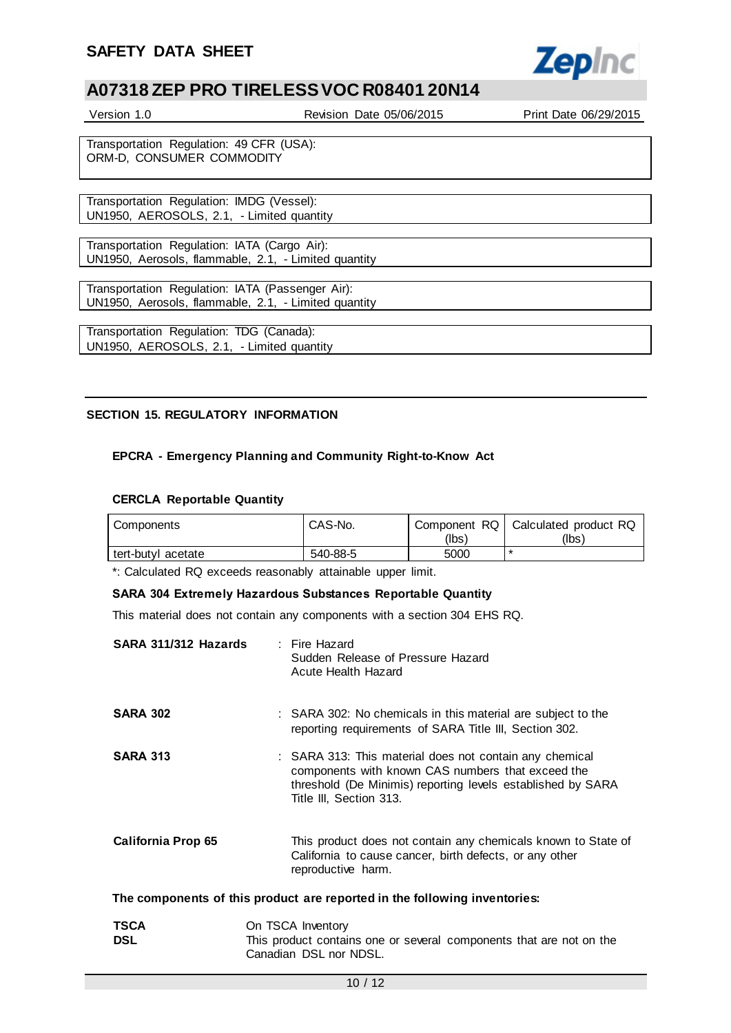

| Version 1.0                                                           | Revision Date 05/06/2015 | Print Date 06/29/2015 |
|-----------------------------------------------------------------------|--------------------------|-----------------------|
|                                                                       |                          |                       |
| Transportation Regulation: 49 CFR (USA):<br>ORM-D, CONSUMER COMMODITY |                          |                       |
|                                                                       |                          |                       |
| Transportation Regulation: IMDG (Vessel):                             |                          |                       |
| UN1950, AEROSOLS, 2.1, - Limited quantity                             |                          |                       |
|                                                                       |                          |                       |
| Transportation Regulation: IATA (Cargo Air):                          |                          |                       |
| UN1950, Aerosols, flammable, 2.1, - Limited quantity                  |                          |                       |
|                                                                       |                          |                       |
| $\tau$ $\cdots$ $\tau$ $\cdots$ $\tau$ $\cdots$ $\cdots$ $\cdots$     |                          |                       |

Transportation Regulation: IATA (Passenger Air): UN1950, Aerosols, flammable, 2.1, - Limited quantity

Transportation Regulation: TDG (Canada): UN1950, AEROSOLS, 2.1, - Limited quantity

#### **SECTION 15. REGULATORY INFORMATION**

### **EPCRA - Emergency Planning and Community Right-to-Know Act**

#### **CERCLA Reportable Quantity**

| Components         | CAS-No.  | Component RQ | Calculated product RQ |
|--------------------|----------|--------------|-----------------------|
|                    |          | (lbs)        | (Ibs)                 |
| tert-butyl acetate | 540-88-5 | 5000         |                       |

\*: Calculated RQ exceeds reasonably attainable upper limit.

#### **SARA 304 Extremely Hazardous Substances Reportable Quantity**

This material does not contain any components with a section 304 EHS RQ.

| SARA 311/312 Hazards                                                      | : Fire Hazard<br>Sudden Release of Pressure Hazard<br>Acute Health Hazard                                                                                                                              |  |
|---------------------------------------------------------------------------|--------------------------------------------------------------------------------------------------------------------------------------------------------------------------------------------------------|--|
| <b>SARA 302</b>                                                           | : SARA 302: No chemicals in this material are subject to the<br>reporting requirements of SARA Title III, Section 302.                                                                                 |  |
| <b>SARA 313</b>                                                           | : SARA 313: This material does not contain any chemical<br>components with known CAS numbers that exceed the<br>threshold (De Minimis) reporting levels established by SARA<br>Title III, Section 313. |  |
| <b>California Prop 65</b>                                                 | This product does not contain any chemicals known to State of<br>California to cause cancer, birth defects, or any other<br>reproductive harm.                                                         |  |
| The components of this product are reported in the following inventories: |                                                                                                                                                                                                        |  |
| <b>TSCA</b><br><b>DSL</b>                                                 | On TSCA Inventory<br>This product contains one or several components that are not on the                                                                                                               |  |
|                                                                           | Canadian DSL nor NDSL.                                                                                                                                                                                 |  |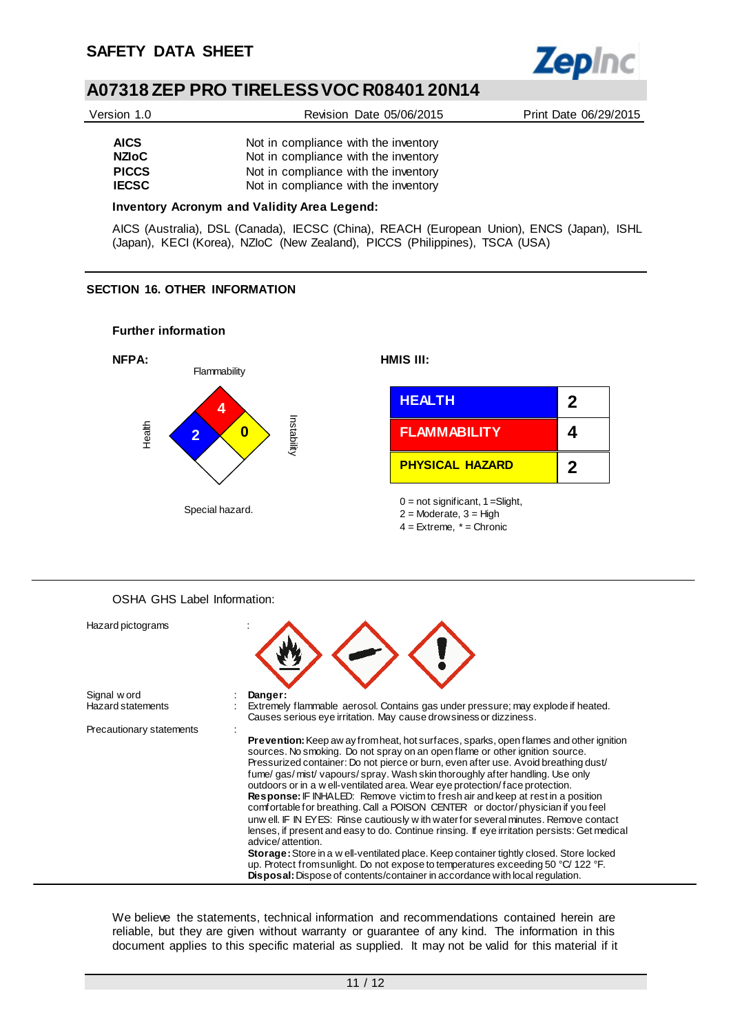

| Version 1.0  | Revision Date 05/06/2015             | Print Date 06/29/2015 |
|--------------|--------------------------------------|-----------------------|
| <b>AICS</b>  | Not in compliance with the inventory |                       |
| NZIoC.       | Not in compliance with the inventory |                       |
| <b>PICCS</b> | Not in compliance with the inventory |                       |

**IECSC** Not in compliance with the inventory

#### **Inventory Acronym and Validity Area Legend:**

AICS (Australia), DSL (Canada), IECSC (China), REACH (European Union), ENCS (Japan), ISHL (Japan), KECI (Korea), NZIoC (New Zealand), PICCS (Philippines), TSCA (USA)

#### **SECTION 16. OTHER INFORMATION**



OSHA GHS Label Information:

| Hazard pictograms        |                                                                                                                                                                                                                                                                                                                                                                                                                                                                                                                                                                                                                                                                                                                                                                                                                                                                                                                                                                                                                                                                                              |
|--------------------------|----------------------------------------------------------------------------------------------------------------------------------------------------------------------------------------------------------------------------------------------------------------------------------------------------------------------------------------------------------------------------------------------------------------------------------------------------------------------------------------------------------------------------------------------------------------------------------------------------------------------------------------------------------------------------------------------------------------------------------------------------------------------------------------------------------------------------------------------------------------------------------------------------------------------------------------------------------------------------------------------------------------------------------------------------------------------------------------------|
| Signal w ord             | Danger:                                                                                                                                                                                                                                                                                                                                                                                                                                                                                                                                                                                                                                                                                                                                                                                                                                                                                                                                                                                                                                                                                      |
| <b>Hazard statements</b> | Extremely flammable aerosol. Contains gas under pressure; may explode if heated.<br>Causes serious eye irritation. May cause drowsiness or dizziness.                                                                                                                                                                                                                                                                                                                                                                                                                                                                                                                                                                                                                                                                                                                                                                                                                                                                                                                                        |
| Precautionary statements |                                                                                                                                                                                                                                                                                                                                                                                                                                                                                                                                                                                                                                                                                                                                                                                                                                                                                                                                                                                                                                                                                              |
|                          | <b>Prevention:</b> Keep aw ay from heat, hot surfaces, sparks, open flames and other ignition<br>sources. No smoking. Do not spray on an open flame or other ignition source.<br>Pressurized container: Do not pierce or burn, even after use. Avoid breathing dust/<br>fume/gas/mist/vapours/spray. Wash skin thoroughly after handling. Use only<br>outdoors or in a w ell-ventilated area. Wear eye protection/face protection.<br>Response: IF INHALED: Remove victim to fresh air and keep at rest in a position<br>comfortable for breathing. Call a POISON CENTER or doctor/physician if you feel<br>unw ell. IF IN EYES: Rinse cautiously with water for several minutes. Remove contact<br>lenses, if present and easy to do. Continue rinsing. If eye irritation persists: Get medical<br>advice/attention.<br><b>Storage:</b> Store in a w ell-ventilated place. Keep container tightly closed. Store locked<br>up. Protect from sunlight. Do not expose to temperatures exceeding 50 °C/ 122 °F.<br>Disposal: Dispose of contents/container in accordance with local regulation. |

We believe the statements, technical information and recommendations contained herein are reliable, but they are given without warranty or guarantee of any kind. The information in this document applies to this specific material as supplied. It may not be valid for this material if it